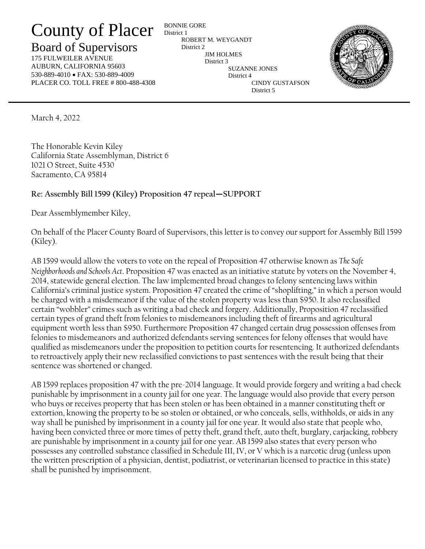## County of Placer

## Board of Supervisors

175 FULWEILER AVENUE AUBURN, CALIFORNIA 95603 530-889-4010 • FAX: 530-889-4009 PLACER CO. TOLL FREE # 800-488-4308

BONNIE GORE District 1 ROBERT M. WEYGANDT District 2 JIM HOLMES District 3 SUZANNE JONES District 4 CINDY GUSTAFSON District 5



March 4, 2022

The Honorable Kevin Kiley California State Assemblyman, District 6 1021 O Street, Suite 4530 Sacramento, CA 95814

## **Re: Assembly Bill 1599 (Kiley) Proposition 47 repeal—SUPPORT**

Dear Assemblymember Kiley,

On behalf of the Placer County Board of Supervisors, this letter is to convey our support for Assembly Bill 1599 (Kiley).

AB 1599 would allow the voters to vote on the repeal of Proposition 47 otherwise known as *The Safe Neighborhoods and Schools Act*. Proposition 47 was enacted as an initiative statute by voters on the November 4, 2014, statewide general election. The law implemented broad changes to felony sentencing laws within California's criminal justice system. Proposition 47 created the crime of "shoplifting," in which a person would be charged with a misdemeanor if the value of the stolen property was less than \$950. It also reclassified certain "wobbler" crimes such as writing a bad check and forgery. Additionally, Proposition 47 reclassified certain types of grand theft from felonies to misdemeanors including theft of firearms and agricultural equipment worth less than \$950. Furthermore Proposition 47 changed certain drug possession offenses from felonies to misdemeanors and authorized defendants serving sentences for felony offenses that would have qualified as misdemeanors under the proposition to petition courts for resentencing. It authorized defendants to retroactively apply their new reclassified convictions to past sentences with the result being that their sentence was shortened or changed.

AB 1599 replaces proposition 47 with the pre-2014 language. It would provide forgery and writing a bad check punishable by imprisonment in a county jail for one year. The language would also provide that every person who buys or receives property that has been stolen or has been obtained in a manner constituting theft or extortion, knowing the property to be so stolen or obtained, or who conceals, sells, withholds, or aids in any way shall be punished by imprisonment in a county jail for one year. It would also state that people who, having been convicted three or more times of petty theft, grand theft, auto theft, burglary, carjacking, robbery are punishable by imprisonment in a county jail for one year. AB 1599 also states that every person who possesses any controlled substance classified in Schedule III, IV, or V which is a narcotic drug (unless upon the written prescription of a physician, dentist, podiatrist, or veterinarian licensed to practice in this state) shall be punished by imprisonment.